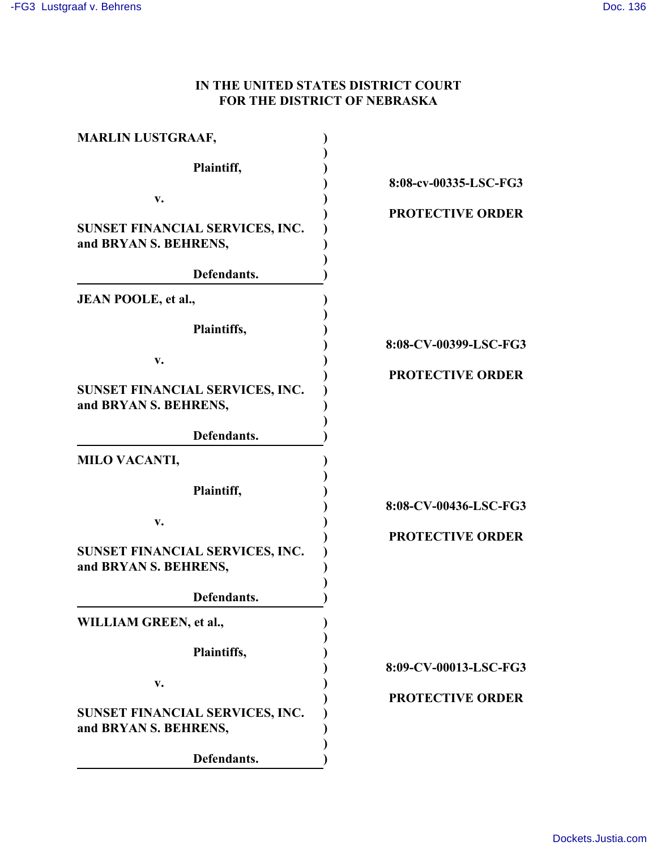## **IN THE UNITED STATES DISTRICT COURT FOR THE DISTRICT OF NEBRASKA**

| <b>MARLIN LUSTGRAAF,</b>                                 |                         |
|----------------------------------------------------------|-------------------------|
| Plaintiff,                                               | 8:08-cv-00335-LSC-FG3   |
| v.                                                       |                         |
| SUNSET FINANCIAL SERVICES, INC.<br>and BRYAN S. BEHRENS, | <b>PROTECTIVE ORDER</b> |
| Defendants.                                              |                         |
| JEAN POOLE, et al.,                                      |                         |
| Plaintiffs,                                              | 8:08-CV-00399-LSC-FG3   |
| v.                                                       | <b>PROTECTIVE ORDER</b> |
| SUNSET FINANCIAL SERVICES, INC.<br>and BRYAN S. BEHRENS, |                         |
| Defendants.                                              |                         |
| <b>MILO VACANTI,</b>                                     |                         |
| Plaintiff,                                               | 8:08-CV-00436-LSC-FG3   |
| v.                                                       |                         |
| SUNSET FINANCIAL SERVICES, INC.<br>and BRYAN S. BEHRENS, | <b>PROTECTIVE ORDER</b> |
| Defendants.                                              |                         |
| WILLIAM GREEN, et al.,                                   |                         |
| Plaintiffs,                                              | 8:09-CV-00013-LSC-FG3   |
| v.                                                       |                         |
| SUNSET FINANCIAL SERVICES, INC.                          | <b>PROTECTIVE ORDER</b> |
| and BRYAN S. BEHRENS,                                    |                         |
| Defendants.                                              |                         |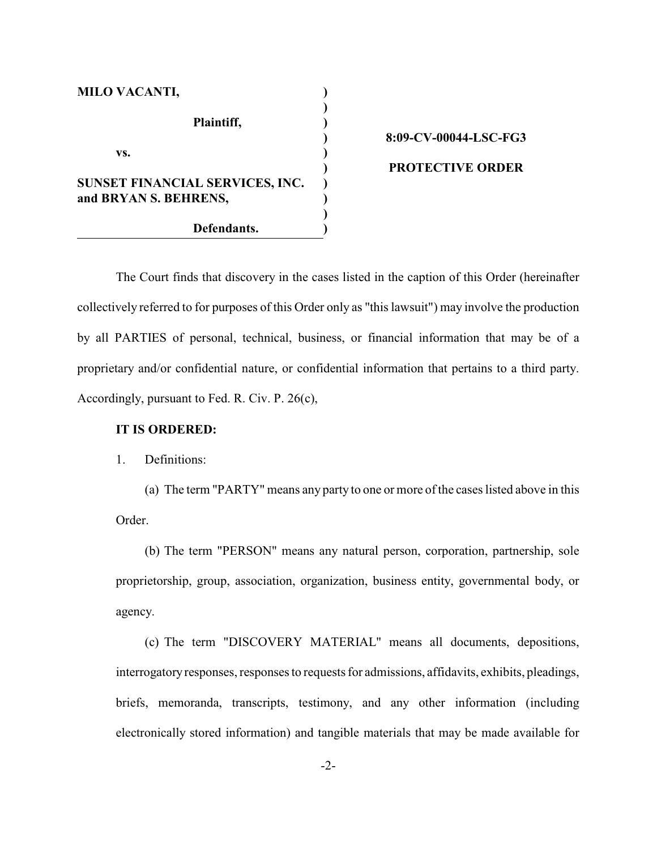| <b>MILO VACANTI,</b>            |  |
|---------------------------------|--|
| Plaintiff,                      |  |
| VS.                             |  |
| SUNSET FINANCIAL SERVICES, INC. |  |
| and BRYAN S. BEHRENS,           |  |
| Defendants.                     |  |

# **8:09-CV-00044-LSC-FG3 PROTECTIVE ORDER**

The Court finds that discovery in the cases listed in the caption of this Order (hereinafter collectively referred to for purposes of this Order only as "this lawsuit") may involve the production by all PARTIES of personal, technical, business, or financial information that may be of a proprietary and/or confidential nature, or confidential information that pertains to a third party. Accordingly, pursuant to Fed. R. Civ. P. 26(c),

#### **IT IS ORDERED:**

#### 1. Definitions:

(a) The term "PARTY" means any party to one or more ofthe cases listed above in this Order.

(b) The term "PERSON" means any natural person, corporation, partnership, sole proprietorship, group, association, organization, business entity, governmental body, or agency.

(c) The term "DISCOVERY MATERIAL" means all documents, depositions, interrogatory responses, responses to requests for admissions, affidavits, exhibits, pleadings, briefs, memoranda, transcripts, testimony, and any other information (including electronically stored information) and tangible materials that may be made available for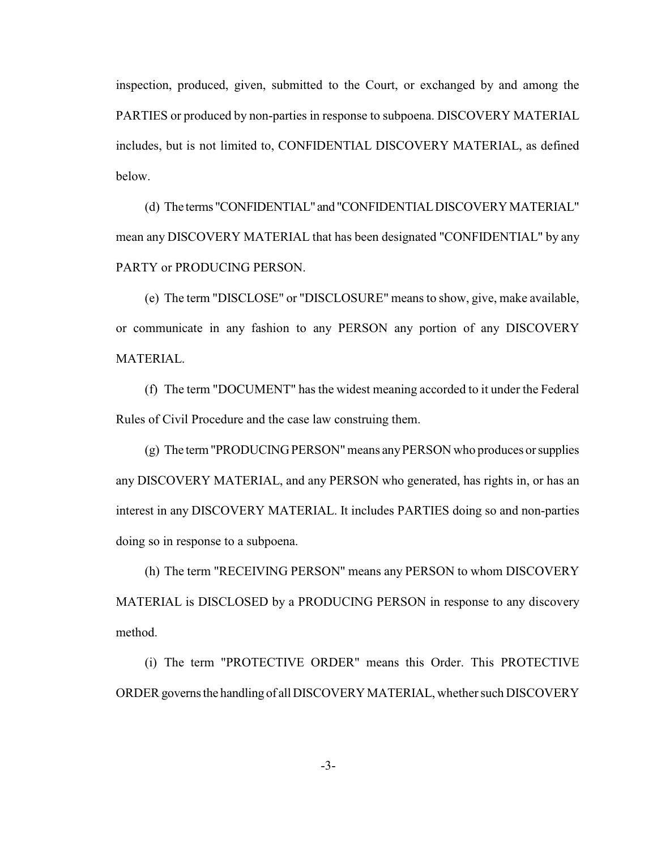inspection, produced, given, submitted to the Court, or exchanged by and among the PARTIES or produced by non-parties in response to subpoena. DISCOVERY MATERIAL includes, but is not limited to, CONFIDENTIAL DISCOVERY MATERIAL, as defined below.

(d) The terms "CONFIDENTIAL" and "CONFIDENTIAL DISCOVERY MATERIAL" mean any DISCOVERY MATERIAL that has been designated "CONFIDENTIAL" by any PARTY or PRODUCING PERSON.

(e) The term "DISCLOSE" or "DISCLOSURE" means to show, give, make available, or communicate in any fashion to any PERSON any portion of any DISCOVERY MATERIAL.

(f) The term "DOCUMENT" has the widest meaning accorded to it under the Federal Rules of Civil Procedure and the case law construing them.

(g) The term "PRODUCING PERSON" means any PERSON who produces or supplies any DISCOVERY MATERIAL, and any PERSON who generated, has rights in, or has an interest in any DISCOVERY MATERIAL. It includes PARTIES doing so and non-parties doing so in response to a subpoena.

(h) The term "RECEIVING PERSON" means any PERSON to whom DISCOVERY MATERIAL is DISCLOSED by a PRODUCING PERSON in response to any discovery method.

(i) The term "PROTECTIVE ORDER" means this Order. This PROTECTIVE ORDER governs the handling of all DISCOVERY MATERIAL, whether such DISCOVERY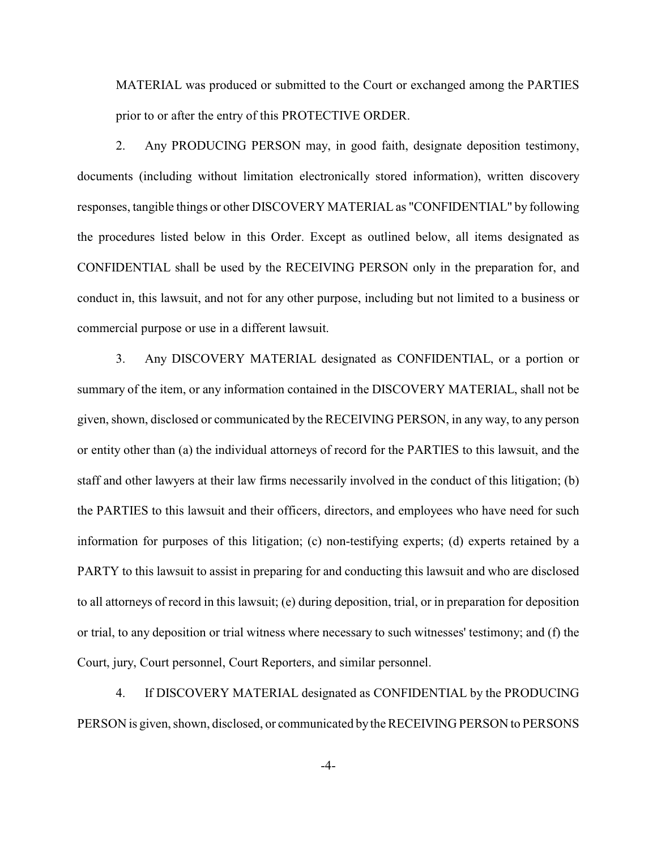MATERIAL was produced or submitted to the Court or exchanged among the PARTIES prior to or after the entry of this PROTECTIVE ORDER.

2. Any PRODUCING PERSON may, in good faith, designate deposition testimony, documents (including without limitation electronically stored information), written discovery responses, tangible things or other DISCOVERY MATERIAL as "CONFIDENTIAL" by following the procedures listed below in this Order. Except as outlined below, all items designated as CONFIDENTIAL shall be used by the RECEIVING PERSON only in the preparation for, and conduct in, this lawsuit, and not for any other purpose, including but not limited to a business or commercial purpose or use in a different lawsuit.

3. Any DISCOVERY MATERIAL designated as CONFIDENTIAL, or a portion or summary of the item, or any information contained in the DISCOVERY MATERIAL, shall not be given, shown, disclosed or communicated by the RECEIVING PERSON, in any way, to any person or entity other than (a) the individual attorneys of record for the PARTIES to this lawsuit, and the staff and other lawyers at their law firms necessarily involved in the conduct of this litigation; (b) the PARTIES to this lawsuit and their officers, directors, and employees who have need for such information for purposes of this litigation; (c) non-testifying experts; (d) experts retained by a PARTY to this lawsuit to assist in preparing for and conducting this lawsuit and who are disclosed to all attorneys of record in this lawsuit; (e) during deposition, trial, or in preparation for deposition or trial, to any deposition or trial witness where necessary to such witnesses' testimony; and (f) the Court, jury, Court personnel, Court Reporters, and similar personnel.

4. If DISCOVERY MATERIAL designated as CONFIDENTIAL by the PRODUCING PERSON is given, shown, disclosed, or communicated by the RECEIVING PERSON to PERSONS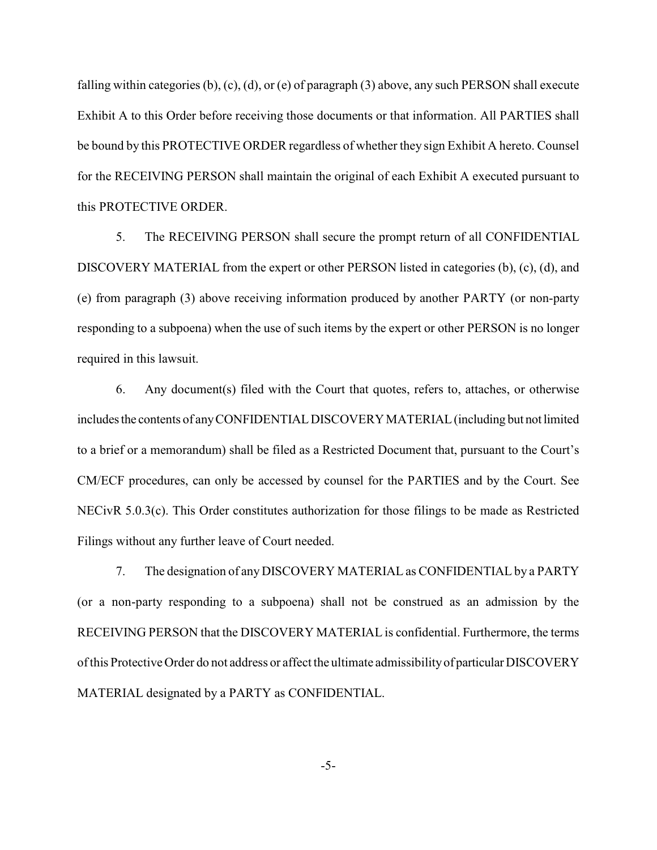falling within categories (b), (c), (d), or (e) of paragraph (3) above, any such PERSON shall execute Exhibit A to this Order before receiving those documents or that information. All PARTIES shall be bound by this PROTECTIVE ORDER regardless of whether they sign Exhibit A hereto. Counsel for the RECEIVING PERSON shall maintain the original of each Exhibit A executed pursuant to this PROTECTIVE ORDER.

5. The RECEIVING PERSON shall secure the prompt return of all CONFIDENTIAL DISCOVERY MATERIAL from the expert or other PERSON listed in categories (b), (c), (d), and (e) from paragraph (3) above receiving information produced by another PARTY (or non-party responding to a subpoena) when the use of such items by the expert or other PERSON is no longer required in this lawsuit.

6. Any document(s) filed with the Court that quotes, refers to, attaches, or otherwise includes the contents of any CONFIDENTIAL DISCOVERY MATERIAL (including but not limited to a brief or a memorandum) shall be filed as a Restricted Document that, pursuant to the Court's CM/ECF procedures, can only be accessed by counsel for the PARTIES and by the Court. See NECivR 5.0.3(c). This Order constitutes authorization for those filings to be made as Restricted Filings without any further leave of Court needed.

7. The designation of any DISCOVERY MATERIAL as CONFIDENTIAL by a PARTY (or a non-party responding to a subpoena) shall not be construed as an admission by the RECEIVING PERSON that the DISCOVERY MATERIAL is confidential. Furthermore, the terms of this Protective Order do not address or affect the ultimate admissibility of particular DISCOVERY MATERIAL designated by a PARTY as CONFIDENTIAL.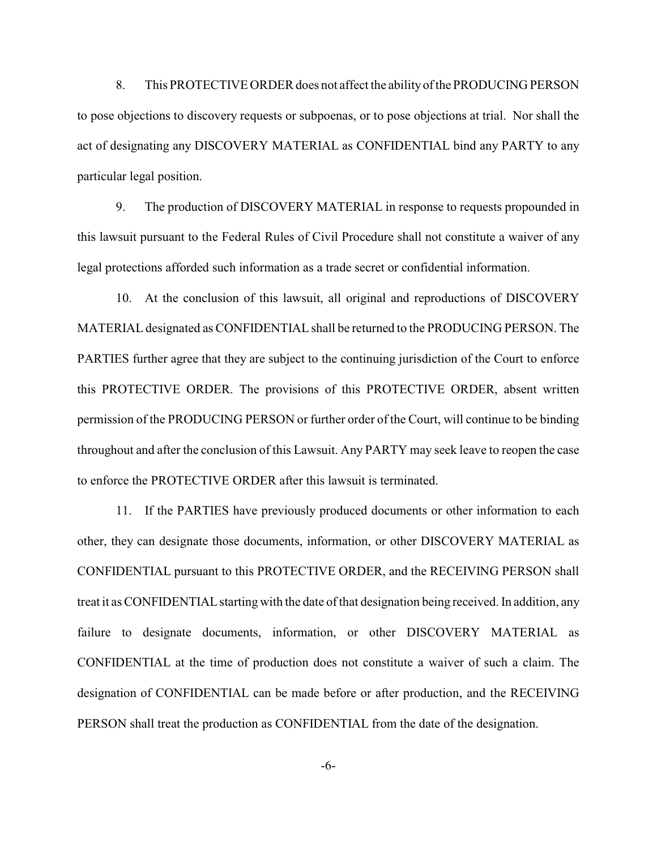8. This PROTECTIVE ORDER does not affect the ability of the PRODUCING PERSON to pose objections to discovery requests or subpoenas, or to pose objections at trial. Nor shall the act of designating any DISCOVERY MATERIAL as CONFIDENTIAL bind any PARTY to any particular legal position.

9. The production of DISCOVERY MATERIAL in response to requests propounded in this lawsuit pursuant to the Federal Rules of Civil Procedure shall not constitute a waiver of any legal protections afforded such information as a trade secret or confidential information.

10. At the conclusion of this lawsuit, all original and reproductions of DISCOVERY MATERIAL designated as CONFIDENTIAL shall be returned to the PRODUCING PERSON. The PARTIES further agree that they are subject to the continuing jurisdiction of the Court to enforce this PROTECTIVE ORDER. The provisions of this PROTECTIVE ORDER, absent written permission of the PRODUCING PERSON or further order of the Court, will continue to be binding throughout and after the conclusion of this Lawsuit. Any PARTY may seek leave to reopen the case to enforce the PROTECTIVE ORDER after this lawsuit is terminated.

11. If the PARTIES have previously produced documents or other information to each other, they can designate those documents, information, or other DISCOVERY MATERIAL as CONFIDENTIAL pursuant to this PROTECTIVE ORDER, and the RECEIVING PERSON shall treat it as CONFIDENTIAL starting with the date of that designation being received. In addition, any failure to designate documents, information, or other DISCOVERY MATERIAL as CONFIDENTIAL at the time of production does not constitute a waiver of such a claim. The designation of CONFIDENTIAL can be made before or after production, and the RECEIVING PERSON shall treat the production as CONFIDENTIAL from the date of the designation.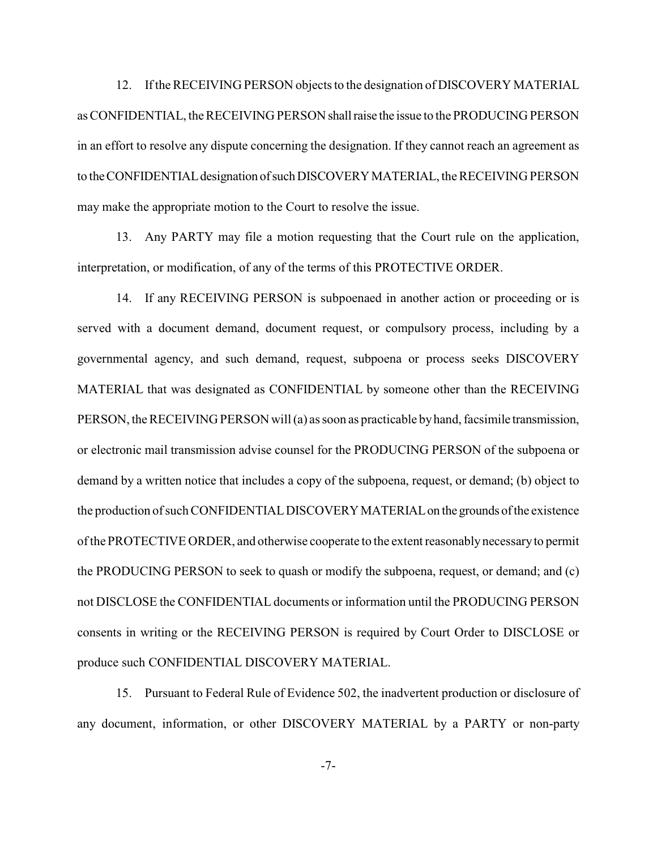12. If the RECEIVING PERSON objects to the designation of DISCOVERY MATERIAL as CONFIDENTIAL, the RECEIVING PERSON shall raise the issue to the PRODUCING PERSON in an effort to resolve any dispute concerning the designation. If they cannot reach an agreement as to the CONFIDENTIAL designation of such DISCOVERY MATERIAL, the RECEIVING PERSON may make the appropriate motion to the Court to resolve the issue.

13. Any PARTY may file a motion requesting that the Court rule on the application, interpretation, or modification, of any of the terms of this PROTECTIVE ORDER.

14. If any RECEIVING PERSON is subpoenaed in another action or proceeding or is served with a document demand, document request, or compulsory process, including by a governmental agency, and such demand, request, subpoena or process seeks DISCOVERY MATERIAL that was designated as CONFIDENTIAL by someone other than the RECEIVING PERSON, the RECEIVING PERSON will (a) as soon as practicable by hand, facsimile transmission, or electronic mail transmission advise counsel for the PRODUCING PERSON of the subpoena or demand by a written notice that includes a copy of the subpoena, request, or demand; (b) object to the production of such CONFIDENTIAL DISCOVERY MATERIAL on the grounds of the existence ofthe PROTECTIVE ORDER, and otherwise cooperate to the extent reasonablynecessary to permit the PRODUCING PERSON to seek to quash or modify the subpoena, request, or demand; and (c) not DISCLOSE the CONFIDENTIAL documents or information until the PRODUCING PERSON consents in writing or the RECEIVING PERSON is required by Court Order to DISCLOSE or produce such CONFIDENTIAL DISCOVERY MATERIAL.

15. Pursuant to Federal Rule of Evidence 502, the inadvertent production or disclosure of any document, information, or other DISCOVERY MATERIAL by a PARTY or non-party

-7-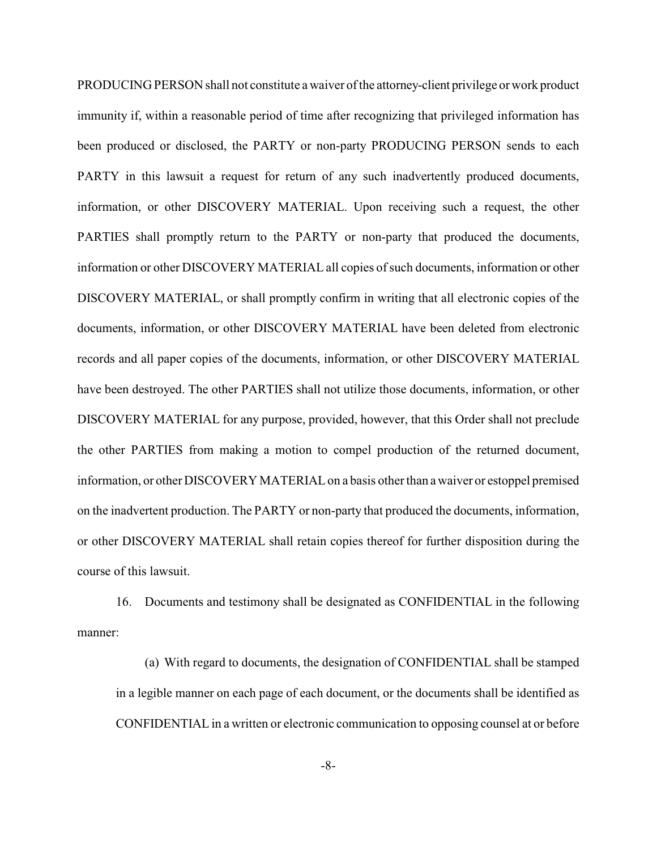PRODUCING PERSON shall not constitute a waiver of the attorney-client privilege or work product immunity if, within a reasonable period of time after recognizing that privileged information has been produced or disclosed, the PARTY or non-party PRODUCING PERSON sends to each PARTY in this lawsuit a request for return of any such inadvertently produced documents, information, or other DISCOVERY MATERIAL. Upon receiving such a request, the other PARTIES shall promptly return to the PARTY or non-party that produced the documents, information or other DISCOVERY MATERIAL all copies of such documents, information or other DISCOVERY MATERIAL, or shall promptly confirm in writing that all electronic copies of the documents, information, or other DISCOVERY MATERIAL have been deleted from electronic records and all paper copies of the documents, information, or other DISCOVERY MATERIAL have been destroyed. The other PARTIES shall not utilize those documents, information, or other DISCOVERY MATERIAL for any purpose, provided, however, that this Order shall not preclude the other PARTIES from making a motion to compel production of the returned document, information, or other DISCOVERY MATERIAL on a basis other than a waiver or estoppel premised on the inadvertent production. The PARTY or non-party that produced the documents, information, or other DISCOVERY MATERIAL shall retain copies thereof for further disposition during the course of this lawsuit.

16. Documents and testimony shall be designated as CONFIDENTIAL in the following manner:

(a) With regard to documents, the designation of CONFIDENTIAL shall be stamped in a legible manner on each page of each document, or the documents shall be identified as CONFIDENTIAL in a written or electronic communication to opposing counsel at or before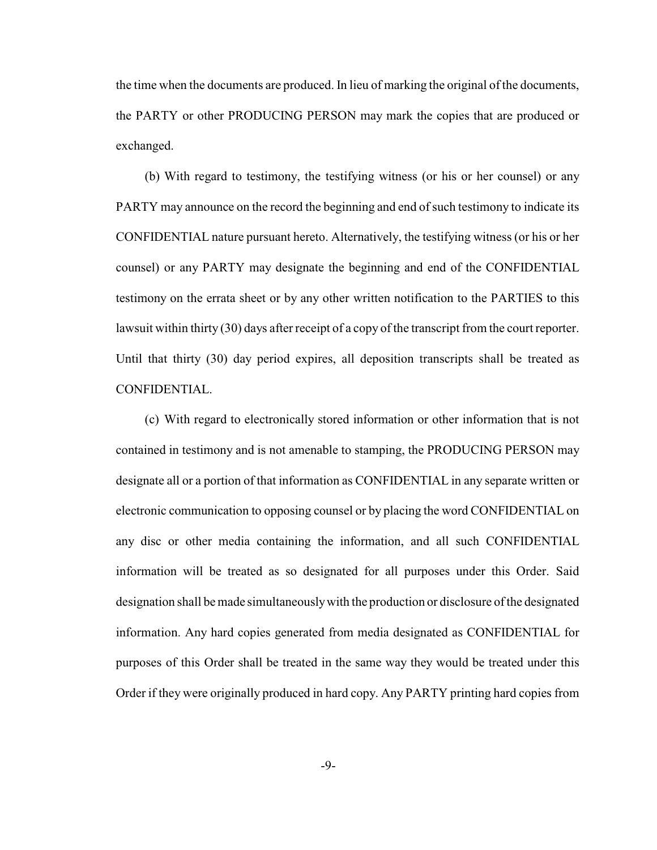the time when the documents are produced. In lieu of marking the original of the documents, the PARTY or other PRODUCING PERSON may mark the copies that are produced or exchanged.

(b) With regard to testimony, the testifying witness (or his or her counsel) or any PARTY may announce on the record the beginning and end of such testimony to indicate its CONFIDENTIAL nature pursuant hereto. Alternatively, the testifying witness (or his or her counsel) or any PARTY may designate the beginning and end of the CONFIDENTIAL testimony on the errata sheet or by any other written notification to the PARTIES to this lawsuit within thirty (30) days after receipt of a copy of the transcript from the court reporter. Until that thirty (30) day period expires, all deposition transcripts shall be treated as CONFIDENTIAL.

(c) With regard to electronically stored information or other information that is not contained in testimony and is not amenable to stamping, the PRODUCING PERSON may designate all or a portion of that information as CONFIDENTIAL in any separate written or electronic communication to opposing counsel or by placing the word CONFIDENTIAL on any disc or other media containing the information, and all such CONFIDENTIAL information will be treated as so designated for all purposes under this Order. Said designation shall be made simultaneouslywith the production or disclosure of the designated information. Any hard copies generated from media designated as CONFIDENTIAL for purposes of this Order shall be treated in the same way they would be treated under this Order if they were originally produced in hard copy. Any PARTY printing hard copies from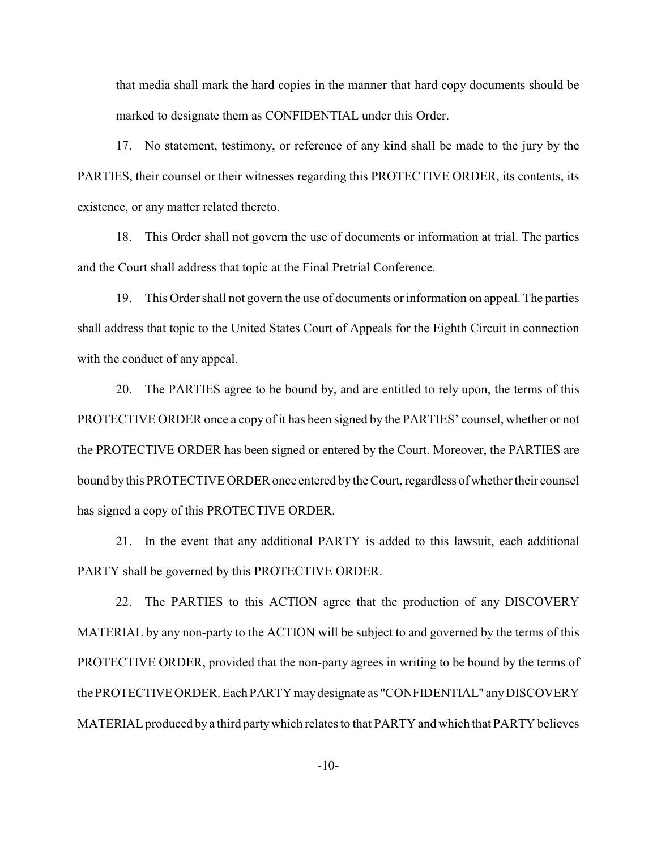that media shall mark the hard copies in the manner that hard copy documents should be marked to designate them as CONFIDENTIAL under this Order.

17. No statement, testimony, or reference of any kind shall be made to the jury by the PARTIES, their counsel or their witnesses regarding this PROTECTIVE ORDER, its contents, its existence, or any matter related thereto.

18. This Order shall not govern the use of documents or information at trial. The parties and the Court shall address that topic at the Final Pretrial Conference.

19. This Order shall not govern the use of documents or information on appeal. The parties shall address that topic to the United States Court of Appeals for the Eighth Circuit in connection with the conduct of any appeal.

20. The PARTIES agree to be bound by, and are entitled to rely upon, the terms of this PROTECTIVE ORDER once a copy of it has been signed by the PARTIES' counsel, whether or not the PROTECTIVE ORDER has been signed or entered by the Court. Moreover, the PARTIES are bound by this PROTECTIVE ORDER once entered by the Court, regardless of whether their counsel has signed a copy of this PROTECTIVE ORDER.

21. In the event that any additional PARTY is added to this lawsuit, each additional PARTY shall be governed by this PROTECTIVE ORDER.

22. The PARTIES to this ACTION agree that the production of any DISCOVERY MATERIAL by any non-party to the ACTION will be subject to and governed by the terms of this PROTECTIVE ORDER, provided that the non-party agrees in writing to be bound by the terms of the PROTECTIVE ORDER. Each PARTY may designate as "CONFIDENTIAL" any DISCOVERY MATERIAL produced by a third partywhich relates to that PARTY and which that PARTY believes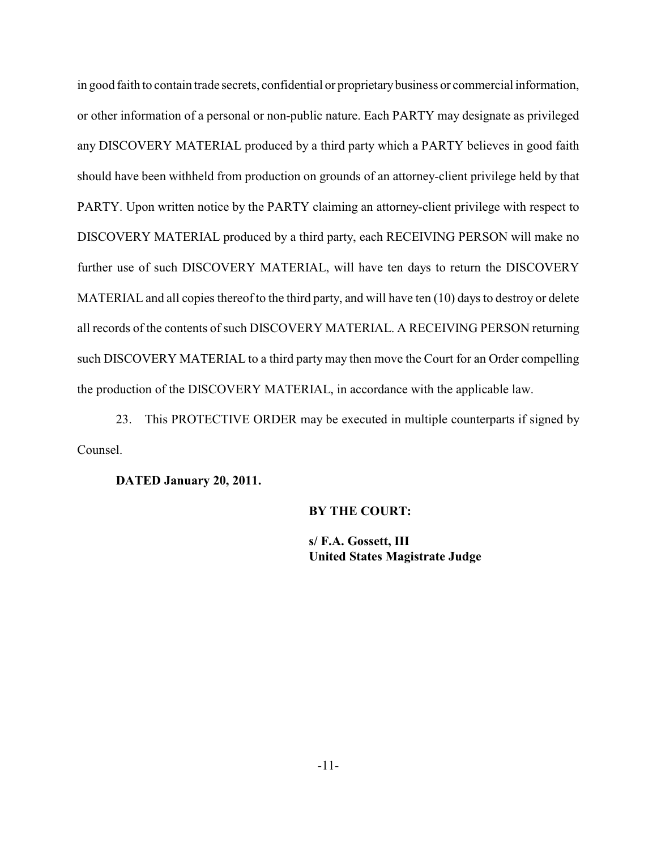in good faith to contain trade secrets, confidential or proprietary business or commercial information, or other information of a personal or non-public nature. Each PARTY may designate as privileged any DISCOVERY MATERIAL produced by a third party which a PARTY believes in good faith should have been withheld from production on grounds of an attorney-client privilege held by that PARTY. Upon written notice by the PARTY claiming an attorney-client privilege with respect to DISCOVERY MATERIAL produced by a third party, each RECEIVING PERSON will make no further use of such DISCOVERY MATERIAL, will have ten days to return the DISCOVERY MATERIAL and all copies thereof to the third party, and will have ten (10) days to destroy or delete all records of the contents of such DISCOVERY MATERIAL. A RECEIVING PERSON returning such DISCOVERY MATERIAL to a third party may then move the Court for an Order compelling the production of the DISCOVERY MATERIAL, in accordance with the applicable law.

23. This PROTECTIVE ORDER may be executed in multiple counterparts if signed by Counsel.

**DATED January 20, 2011.**

#### **BY THE COURT:**

**s/ F.A. Gossett, III United States Magistrate Judge**